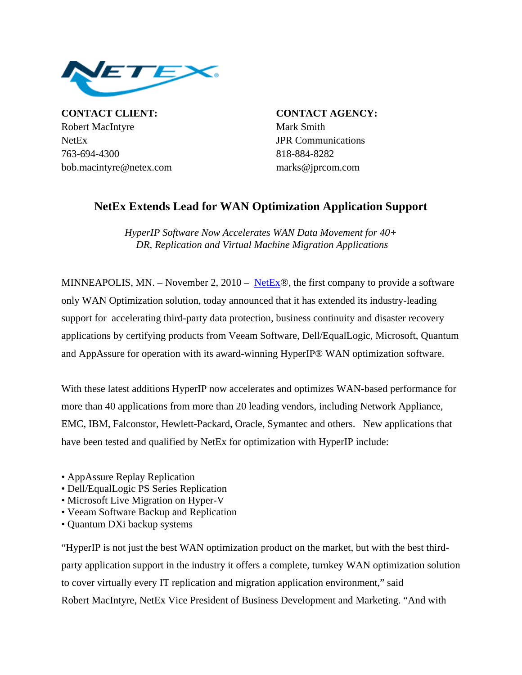

**CONTACT CLIENT: CONTACT AGENCY:** Robert MacIntyre Mark Smith NetEx JPR Communications 763-694-4300 818-884-8282 bob.macintyre@netex.com marks@jprcom.com

## **NetEx Extends Lead for WAN Optimization Application Support**

*HyperIP Software Now Accelerates WAN Data Movement for 40+ DR, Replication and Virtual Machine Migration Applications*

MINNEAPOLIS, MN. – November 2, 2010 – [NetEx](http://www.netex.com/)®, the first company to provide a software only WAN Optimization solution, today announced that it has extended its industry-leading support for accelerating third-party data protection, business continuity and disaster recovery applications by certifying products from Veeam Software, Dell/EqualLogic, Microsoft, Quantum and AppAssure for operation with its award-winning HyperIP® WAN optimization software.

With these latest additions HyperIP now accelerates and optimizes WAN-based performance for more than 40 applications from more than 20 leading vendors, including Network Appliance, EMC, IBM, Falconstor, Hewlett-Packard, Oracle, Symantec and others. New applications that have been tested and qualified by NetEx for optimization with HyperIP include:

- AppAssure Replay Replication
- Dell/EqualLogic PS Series Replication
- Microsoft Live Migration on Hyper-V
- Veeam Software Backup and Replication
- Quantum DXi backup systems

"HyperIP is not just the best WAN optimization product on the market, but with the best thirdparty application support in the industry it offers a complete, turnkey WAN optimization solution to cover virtually every IT replication and migration application environment," said Robert MacIntyre, NetEx Vice President of Business Development and Marketing. "And with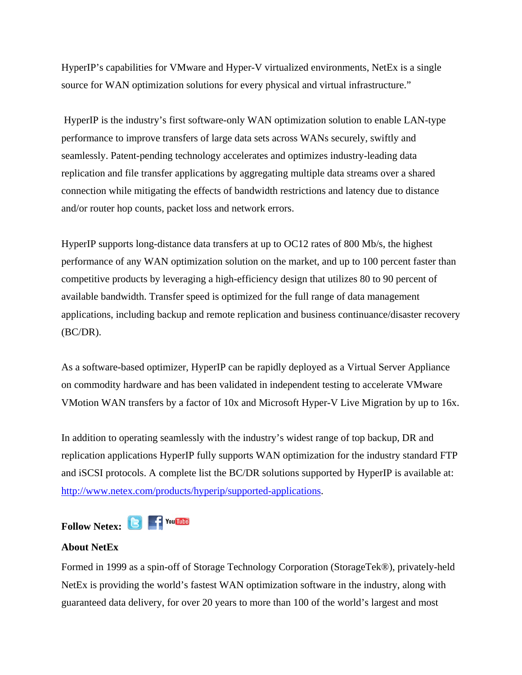HyperIP's capabilities for VMware and Hyper-V virtualized environments, NetEx is a single source for WAN optimization solutions for every physical and virtual infrastructure."

 HyperIP is the industry's first software-only WAN optimization solution to enable LAN-type performance to improve transfers of large data sets across WANs securely, swiftly and seamlessly. Patent-pending technology accelerates and optimizes industry-leading data replication and file transfer applications by aggregating multiple data streams over a shared connection while mitigating the effects of bandwidth restrictions and latency due to distance and/or router hop counts, packet loss and network errors.

HyperIP supports long-distance data transfers at up to OC12 rates of 800 Mb/s, the highest performance of any WAN optimization solution on the market, and up to 100 percent faster than competitive products by leveraging a high-efficiency design that utilizes 80 to 90 percent of available bandwidth. Transfer speed is optimized for the full range of data management applications, including backup and remote replication and business continuance/disaster recovery  $(BC/DR)$ .

As a software-based optimizer, HyperIP can be rapidly deployed as a Virtual Server Appliance on commodity hardware and has been validated in independent testing to accelerate VMware VMotion WAN transfers by a factor of 10x and Microsoft Hyper-V Live Migration by up to 16x.

In addition to operating seamlessly with the industry's widest range of top backup, DR and replication applications HyperIP fully supports WAN optimization for the industry standard FTP and iSCSI protocols. A complete list the BC/DR solutions supported by HyperIP is available at: [http://www.netex.com/products/hyperip/supported-applications.](http://www.netex.com/products/hyperip/supported-applications)

**Follow Netex: C F** You **ITHE** 

## **About NetEx**

Formed in 1999 as a spin-off of Storage Technology Corporation (StorageTek®), privately-held NetEx is providing the world's fastest WAN optimization software in the industry, along with guaranteed data delivery, for over 20 years to more than 100 of the world's largest and most